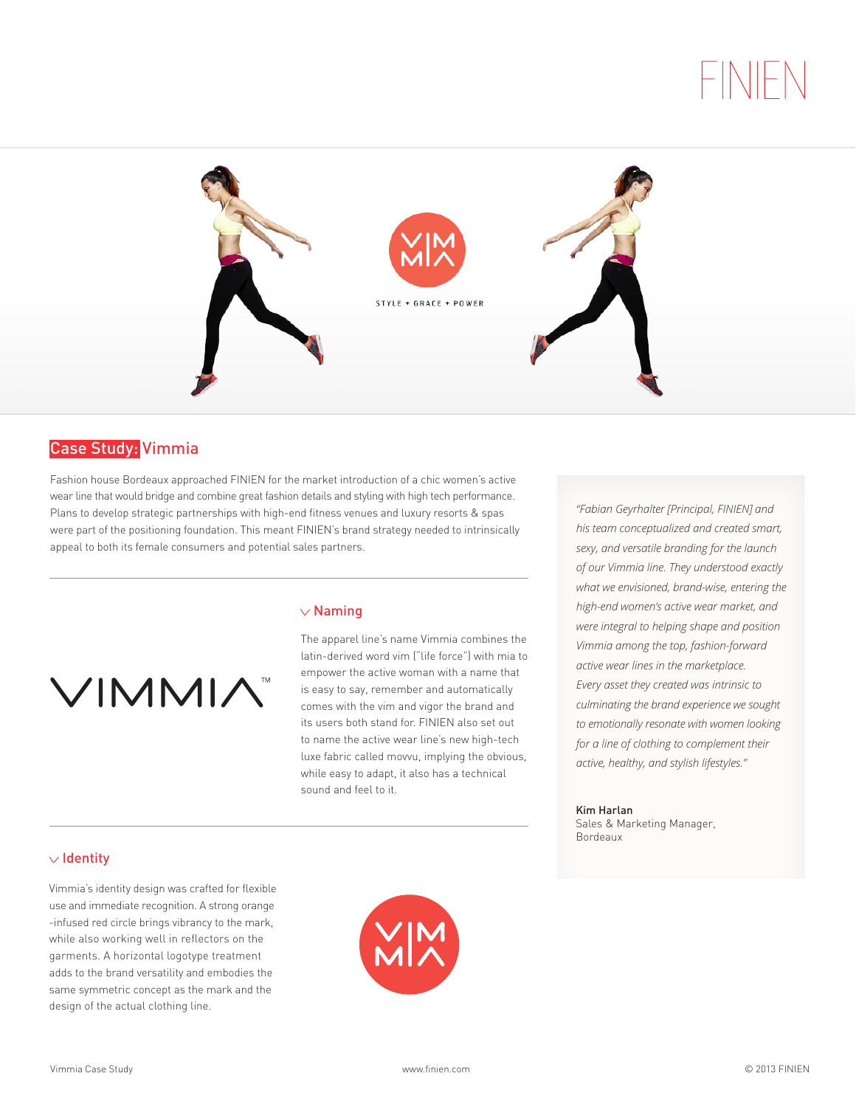

# Case Study: Vimmia

Fashion house Bordeaux approached FINIEN for the market introduction of a chic women's active wear line that would bridge and combine great fashion details and styling with high tech performance. Plans to develop strategic partnerships with high-end fitness venues and luxury resorts & spas were part of the positioning foundation. This meant FINIEN's brand strategy needed to intrinsically appeal to both its female consumers and potential sales partners.



## $\vee$  Naming

The apparel line's name Vimmia combines the latin-derived word vim ("life force") with mia to empower the active woman with a name that is easy to say, remember and automatically comes with the vim and vigor the brand and its users both stand for. FINIEN also set out to name the active wear line's new high-tech luxe fabric called movvu, implying the obvious, while easy to adapt, it also has a technical sound and feel to it.

*"Fabian Geyrhalter [Principal, FINIEN] and his team conceptualized and created smart, sexy, and versatile branding for the launch of our Vimmia line. They understood exactly what we envisioned, brand-wise, entering the high-end women's active wear market, and were integral to helping shape and position Vimmia among the top, fashion-forward active wear lines in the marketplace. Every asset they created was intrinsic to culminating the brand experience we sought to emotionally resonate with women looking for a line of clothing to complement their active, healthy, and stylish lifestyles."*

Kim Harlan Sales & Marketing Manager, Bordeaux

## $\vee$  Identity

Vimmia's identity design was crafted for flexible use and immediate recognition. A strong orange -infused red circle brings vibrancy to the mark, while also working well in reflectors on the garments. A horizontal logotype treatment adds to the brand versatility and embodies the same symmetric concept as the mark and the design of the actual clothing line.

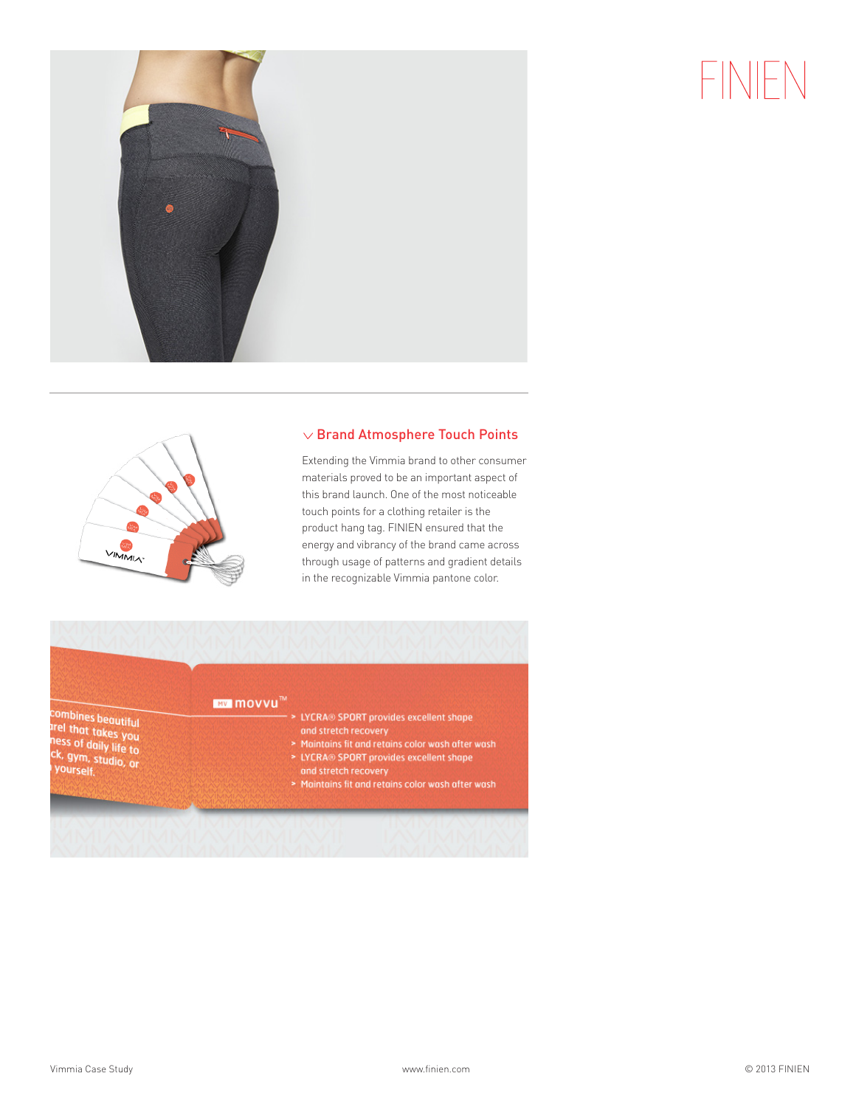



## $\vee$  Brand Atmosphere Touch Points

Extending the Vimmia brand to other consumer materials proved to be an important aspect of this brand launch. One of the most noticeable touch points for a clothing retailer is the product hang tag. FINIEN ensured that the energy and vibrancy of the brand came across through usage of patterns and gradient details in the recognizable Vimmia pantone color.

**IMV MOVVU™** 

combines beautiful<br>Irel that takes you<br>ness of daily life to<br>ck, gym, studio, or<br>l yourself. yourself.

- > LYCRA® SPORT provides excellent shape
- and stretch recovery<br>• Maintains fit and retains color wash after wash
- > LYCRA® SPORT provides excellent shape
- and stretch recovery
- > Maintains fit and retains color wash after wash